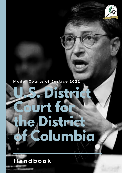

# **M ode l C our t s of Jus t i c e 202 2**

# **U.S. District Court for the District of Columbia**

**H andbook**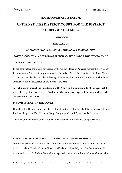#### **MODEL COURTS OF JUSTICE 2022**

## **UNITED STATES DISTRICT COURT FOR THE DISTRICT COURT OF COLUMBIA**

#### **HANDBOOK**

#### **THE CASE OF**

#### *UNITED STATES of AMERICA v. MICROSOFT CORPORATION*

#### *MONOPOLIZATION of OPERATING SYSTEM MARKET UNDER THE SHERMAN ACT*

#### **A. PROCEDURAL STAGE**

In the case before the Court, advocates of the United States of America represent the Plaintiff Party while the Microsoft Corporation is the Defendant Party. The Secretariat of Model Courts of Justice has decided on the following implementation in order to create a simulation atmosphere for the discussion on the merits of the case:

**Any challenges against the jurisdiction of the Court or the admissibility of the case shall be overruled by the Secretariat. Parties to the case are expected to acknowledge the Jurisdiction of the Court.**

#### **B. COMPOSITION OF THE COURT**

United States District Court for the District Court of Columbia shall be composed of one President Judge, one Vice-President Judge, Judges, two Plaintiffs, and two Defendants.

The roles of the members of the Court shall be explained in written and oral proceedings.

#### **C. WRITTEN PROCEEDINGS: MEMORIAL & COUNTER-MEMORIAL**

Written Proceedings start with the submission of the Memorial of the Plaintiff Party to the Secretariat of Model Courts of Justice 2022 via *ucdc@modelcj.org.* The Secretariat shall then send it to the Defendant Party who is expected to write and submit a Counter-Memorial in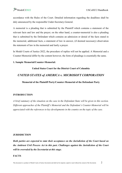accordance with the Rules of the Court. Detailed information regarding the deadlines shall be duly announced by the responsible Under-Secretary-General.

A memorial is a pleading that is submitted by the Plaintiff which contains a statement of the relevant facts and law and the prayer; on the other hand, a counter-memorial is also a pleading that is submitted by the Defendant which contains an admission or denial of the facts stated in the memorial, additional facts, a statement of law in answer, (if deemed necessary) observation the statement of law in the memorial and lastly a prayer.

In Model Courts of Justice 2022, the procedure of replies will not be applied. A Memorial and a Counter-Memorial differ by the content however, the form of pleadings is essentially the same.

#### **1. Sample Memorial/Counter-Memorial:**

#### **United States Court for the District Court of Columbia**

#### *UNITED STATES of AMERICA v. MICROSOFT CORPORATION*

**Memorial of the Plaintiff Party/Counter-Memorial of the Defendant Party**

#### **INTRODUCTION**

*A brief summary of the situation on the case in the Defendant State will be given in this section. Different approaches of the Plaintiff's Memorial and the Defendant's Counter-Memorial will be appreciated with the references to key developments in the country on the topic of the case.* 

#### **JURISDICTION**

*Both parties are expected to state their acceptance on the Jurisdiction of the Court based on the Antitrust Civil Process Act in this part. Challenges against the Jurisdiction of the Court will be overruled by the Secretariat at this stage.* 

#### **FACTS**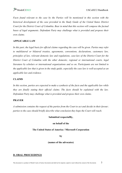*Facts found relevant to the case by the Parties will be mentioned in this section with the historical development of the case provided in the Study Guide of the United States District Court for the District Court of Columbia. Bear in mind that this section will compose the factual bases of legal arguments. Defendant Party may challenge what is provided and propose their own claims.* 

#### **APPLICABLE LAW**

*In this part, the legal basis for official claims regarding the case will be given. Parties may refer to multilateral or bilateral treaties, agreements, conventions, declarations, customary law, principles of law, relevant domestic law and regulations, case-law of the District Court for the District Court of Columbia with the other domestic, regional or international courts, legal literature by scholars or international organizations and so on. Participants are not limited to the applicable law that is given in the study guide, especially the case law is well-accepted as an applicable law and evidence.*

#### **CLAIMS**

In this section, parties are expected to make a synthesis of the facts and the applicable law while *they are finally stating their official claims. The facts should be explained with the law. Defendant Party may challenge what is provided and propose their own claims.* 

#### **PRAYER**

*A submission contains the request of the parties from the Court to act and decide in their favour; parties to the case should briefly describe what conclusion they hope the Court will reach.* 

#### **Submitted respectuflly,**

#### **on behalf of the**

#### **The United States of America / Microsoft Corporation**

**by**

#### **(names of the advocates)**

#### **D. ORAL PROCEEDINGS**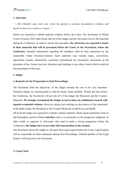#### **1. Advocates**

*"…The Chamber may, inter alia, invite the parties to produce documentary evidence and decide to hear as a witness or expert…"*

Parties are expected to submit material evidence before the Court. The Secretariat of Model Courts of Justice 2022 shall ensure that all of the Judges and the Advocates receive the materials during the Conference. In order to ensure this procedure, **the Advocates are expected to handin their materials that will be presented before the Court, to the Secretariat, before the Conference.** Detailed information regarding the deadlines shall be duly announced by the responsible Under Secretary-General. Such materials may include maps, conventions, agreements, treaties, declarations, customary international law documents, documents on the principles of law, former case-law, doctrines and teachings or any other visuals which would aid the presentation of the case.

#### **2. Judges**

#### **a. Remarks for the Preparation to Oral Proceedings:**

The Secretariat finds the objectivity of the Judges towards the case to be very important. Therefore Judges are recommended to read the Study Guide carefully. Within due time before the Conference, the Secretariat will provide all of the Judges the Memorial and the Counter-Memorial. **We strongly recommend the Judges to not to make any additional research with regards to material evidence.** However, doing extra readings on the sources of law mentioned in the Study Guide, the Memorial or the Counter-Memorial would be in your benefit.

All in all, the Judges are expected to evaluate evidence material, obtain expert statements, listen to and thoroughly question Parties **and then** come to a conclusion on the prospective Judgment. In other words, as opposed to Advocates who need to make a strong preparation before the Conference; **the Judges have to save their full concentration to the sessions**.

The Secretariat allows the Judges to call upon three legal experts before the Court. Legal Experts will be responsible for their statements during Oral Proceedings. Detailed profiles of the Legal Experts will be given by the Secretariat.

#### **3. Court Clerk**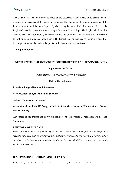## The Court Clerk shall take copious notes of the sessions. He/she needs to be careful in this mission; as, in case any of the Judges misremember the statements of Experts or speeches of the Parties, the truth shall lie in the Report. By also taking the oaths of all Members and Experts, the Registrar's role is to ensure the credibility of the Oral Proceedings. The Registrarist here fore asked to read the Study Guide, the Memorial and the Counter-Memorial carefully; in order not to confuse terms and names in the Report. The Report shall be the basis of Sections II and III of the Judgment, while also aiding the precise reflection of the Deliberations.

**4. Sample Judgment:** 

#### **UNİTED STATES DISTRICT COURT FOR THE DISTRICT COURT OF COLUMBIA**

**Judgment on the Case of**

*United States of America v. Microsoft Corporation*

**Date of the Judgment**

**President Judge: (Name and Surname)**

**Vice President Judge: (Name and Surname)**

**Judges: (Names and Surnames)**

**Advocates of the Plaintiff Party, on behalf of the Government of United States (Names and Surnames)**

**Advocates of the Defendant Party, on behalf of the Microsoft Corporation (Names and Surnames)**

#### **I. HISTORY OF THE CASE**

*Under this chapter, a brief summary of the case should be written, previous developments regarding the case such as the date and the institution of proceedings before the Court should be mentioned. Brief information about the situation in the Defendant State regarding the case topic would be appreciated.*

#### **II. SUBMISSIONS OF THE PLAINTIFF PARTY**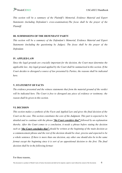*This section will be a summary of the Plaintiff's Memorial, Evidence Material and Expert Statements (including Defendant's cross-examination).The focus shall be the prayer of the Plaintiff.*

#### **III. SUBMISSIONS OF THE DEFENDANT PARTY**

*This section will be a summary of the Defendant's Memorial, Evidence Material and Expert Statements (including the questioning by Judges). The focus shall be the prayer of the Defendant.*

#### **IV. APPLIED LAW**

*Since the legal grounds are crucially important for the decision, the Court must determine the applicable law. Any legal ground applied by the Court shall be summarized in this section. If the Court decides to disregard a source of law presented by Parties, the reasons shall be indicated here.*

#### **V. STATEMENT OF FACTS**

*The evidence presented and the witness statements that form the material ground of the verdict will be indicated here. The Court is free to disregard any piece of evidence or testimony; the reason shall be given in this section.*

#### **VI. DECISION**

*This section makes a synthesis of the Facts and Applied Law and gives the final decision of the Court on the case. This section constitutes the core of the Judgment. This part is expected to be detailed and to continue with the phrase "the Court considers that" followed by an explanation thereby. After the Court comes to a conclusion, it needs a phrase before stating the decision such as "the Court concludes that" should be written at the beginning of the main decision as a commencement phrase and the rest of the decision should be clear, precise and expected to be a whole sentence. If there is more than one decision, any other one should also be in the same format except the beginning since it is sort of an oppositional decision to the first. The final decision shall be in the following format:*

For these reasons,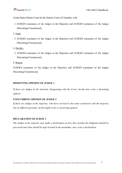## **Example 12000** USCoDCC/Handbook

United States District Court for the District Court of Columbia, with

- 1. JUDGES (surnames of the Judges in the Majority) and JUDGES (surnames of the Judges Dissenting)/Unanimously
- 2. Finds
	- 3. JUDGES (surnames of the Judges in the Majority) and JUDGES (surnames of the Judges Dissenting)/Unanimously
- 4. Decides
	- 5. JUDGES (surnames of the Judges in the Majority) and JUDGES (surnames of the Judges Dissenting)/Unanimously
- 6. Rejects

JUDGES (surnames of the Judges in the Majority) and JUDGES (surnames of the Judges Dissenting)/Unanimously

#### **DISSENTING OPINION OF JUDGE 1**

*If there are Judges in the minority, disagreeing with the Court; he/she may write a dissenting opinion.*

#### **CONCURRING OPINION OF JUDGE 2**

*If there are Judges in the majority; who have arrived to the same conclusion with the majority but on different grounds; he/she might write a concurring opinion.*

#### **DECLARATION OF JUDGE 3**

*The Judges in the majority may make a declaration on how they assume the Judgment should be perceived and what should be kept in mind in the meantime; may write a declaration.*